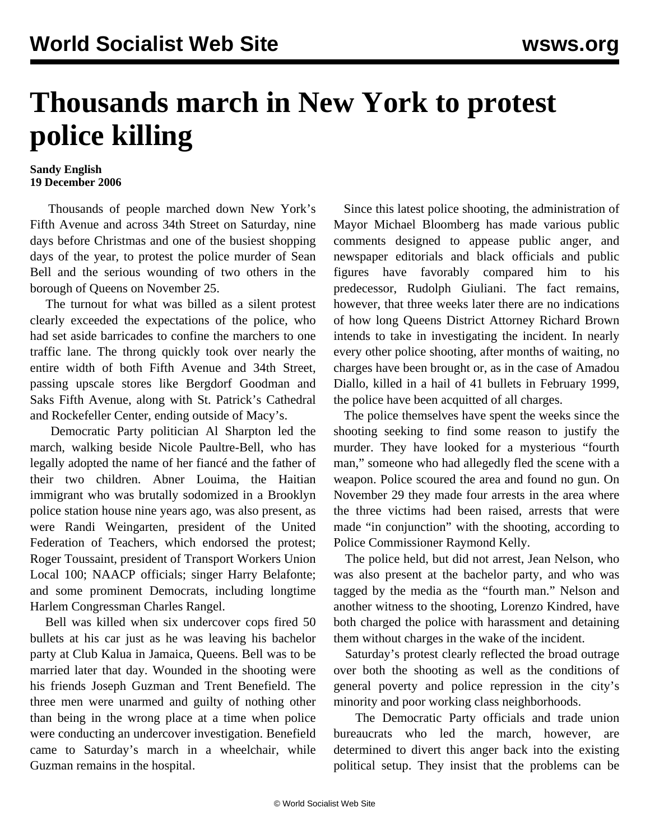## **Thousands march in New York to protest police killing**

## **Sandy English 19 December 2006**

 Thousands of people marched down New York's Fifth Avenue and across 34th Street on Saturday, nine days before Christmas and one of the busiest shopping days of the year, to protest the police murder of Sean Bell and the serious wounding of two others in the borough of Queens on November 25.

 The turnout for what was billed as a silent protest clearly exceeded the expectations of the police, who had set aside barricades to confine the marchers to one traffic lane. The throng quickly took over nearly the entire width of both Fifth Avenue and 34th Street, passing upscale stores like Bergdorf Goodman and Saks Fifth Avenue, along with St. Patrick's Cathedral and Rockefeller Center, ending outside of Macy's.

 Democratic Party politician Al Sharpton led the march, walking beside Nicole Paultre-Bell, who has legally adopted the name of her fiancé and the father of their two children. Abner Louima, the Haitian immigrant who was brutally sodomized in a Brooklyn police station house nine years ago, was also present, as were Randi Weingarten, president of the United Federation of Teachers, which endorsed the protest; Roger Toussaint, president of Transport Workers Union Local 100; NAACP officials; singer Harry Belafonte; and some prominent Democrats, including longtime Harlem Congressman Charles Rangel.

 Bell was killed when six undercover cops fired 50 bullets at his car just as he was leaving his bachelor party at Club Kalua in Jamaica, Queens. Bell was to be married later that day. Wounded in the shooting were his friends Joseph Guzman and Trent Benefield. The three men were unarmed and guilty of nothing other than being in the wrong place at a time when police were conducting an undercover investigation. Benefield came to Saturday's march in a wheelchair, while Guzman remains in the hospital.

 Since this latest police shooting, the administration of Mayor Michael Bloomberg has made various public comments designed to appease public anger, and newspaper editorials and black officials and public figures have favorably compared him to his predecessor, Rudolph Giuliani. The fact remains, however, that three weeks later there are no indications of how long Queens District Attorney Richard Brown intends to take in investigating the incident. In nearly every other police shooting, after months of waiting, no charges have been brought or, as in the case of Amadou Diallo, killed in a hail of 41 bullets in February 1999, the police have been acquitted of all charges.

 The police themselves have spent the weeks since the shooting seeking to find some reason to justify the murder. They have looked for a mysterious "fourth man," someone who had allegedly fled the scene with a weapon. Police scoured the area and found no gun. On November 29 they made four arrests in the area where the three victims had been raised, arrests that were made "in conjunction" with the shooting, according to Police Commissioner Raymond Kelly.

 The police held, but did not arrest, Jean Nelson, who was also present at the bachelor party, and who was tagged by the media as the "fourth man." Nelson and another witness to the shooting, Lorenzo Kindred, have both charged the police with harassment and detaining them without charges in the wake of the incident.

 Saturday's protest clearly reflected the broad outrage over both the shooting as well as the conditions of general poverty and police repression in the city's minority and poor working class neighborhoods.

 The Democratic Party officials and trade union bureaucrats who led the march, however, are determined to divert this anger back into the existing political setup. They insist that the problems can be